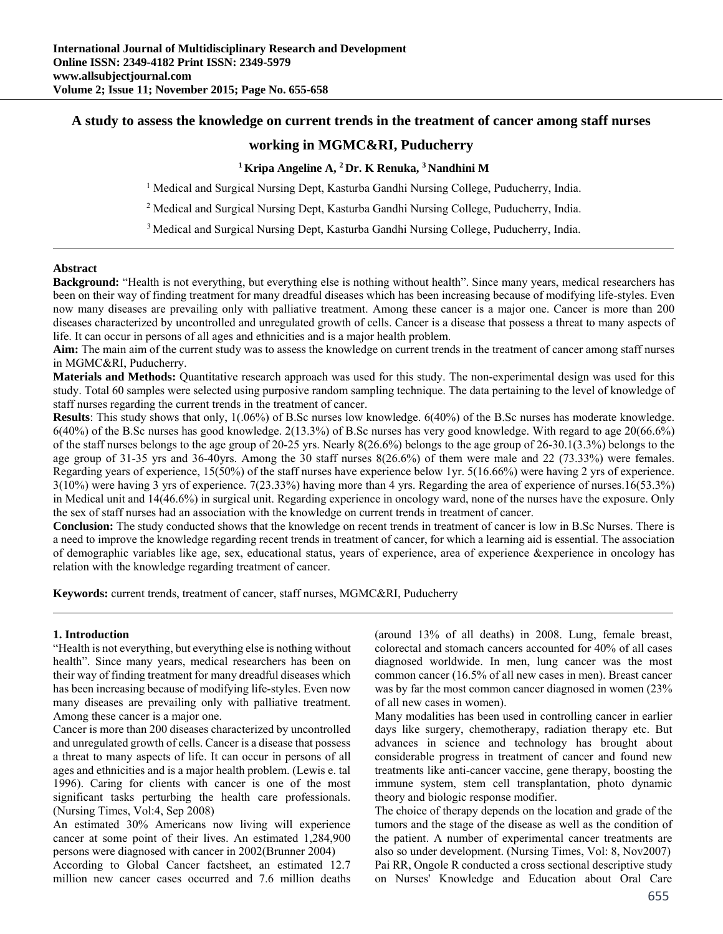## **A study to assess the knowledge on current trends in the treatment of cancer among staff nurses**

# **working in MGMC&RI, Puducherry**

### **1 Kripa Angeline A, 2 Dr. K Renuka, 3 Nandhini M**

<sup>1</sup> Medical and Surgical Nursing Dept, Kasturba Gandhi Nursing College, Puducherry, India.

2 Medical and Surgical Nursing Dept, Kasturba Gandhi Nursing College, Puducherry, India.

3 Medical and Surgical Nursing Dept, Kasturba Gandhi Nursing College, Puducherry, India.

### **Abstract**

**Background:** "Health is not everything, but everything else is nothing without health". Since many years, medical researchers has been on their way of finding treatment for many dreadful diseases which has been increasing because of modifying life-styles. Even now many diseases are prevailing only with palliative treatment. Among these cancer is a major one. Cancer is more than 200 diseases characterized by uncontrolled and unregulated growth of cells. Cancer is a disease that possess a threat to many aspects of life. It can occur in persons of all ages and ethnicities and is a major health problem.

**Aim:** The main aim of the current study was to assess the knowledge on current trends in the treatment of cancer among staff nurses in MGMC&RI, Puducherry.

**Materials and Methods:** Quantitative research approach was used for this study. The non-experimental design was used for this study. Total 60 samples were selected using purposive random sampling technique. The data pertaining to the level of knowledge of staff nurses regarding the current trends in the treatment of cancer.

**Results**: This study shows that only, 1(.06%) of B.Sc nurses low knowledge. 6(40%) of the B.Sc nurses has moderate knowledge. 6(40%) of the B.Sc nurses has good knowledge. 2(13.3%) of B.Sc nurses has very good knowledge. With regard to age 20(66.6%) of the staff nurses belongs to the age group of 20-25 yrs. Nearly  $8(26.6%)$  belongs to the age group of  $26-30.1(3.3%)$  belongs to the age group of  $31-35$  yrs and  $36-40$ yrs. Among the 30 staff nurses  $8(26.6%)$  of them were male and  $22$  (73.33%) were females. Regarding years of experience, 15(50%) of the staff nurses have experience below 1yr. 5(16.66%) were having 2 yrs of experience. 3(10%) were having 3 yrs of experience. 7(23.33%) having more than 4 yrs. Regarding the area of experience of nurses.16(53.3%) in Medical unit and 14(46.6%) in surgical unit. Regarding experience in oncology ward, none of the nurses have the exposure. Only the sex of staff nurses had an association with the knowledge on current trends in treatment of cancer.

**Conclusion:** The study conducted shows that the knowledge on recent trends in treatment of cancer is low in B.Sc Nurses. There is a need to improve the knowledge regarding recent trends in treatment of cancer, for which a learning aid is essential. The association of demographic variables like age, sex, educational status, years of experience, area of experience &experience in oncology has relation with the knowledge regarding treatment of cancer.

**Keywords:** current trends, treatment of cancer, staff nurses, MGMC&RI, Puducherry

#### **1. Introduction**

"Health is not everything, but everything else is nothing without health". Since many years, medical researchers has been on their way of finding treatment for many dreadful diseases which has been increasing because of modifying life-styles. Even now many diseases are prevailing only with palliative treatment. Among these cancer is a major one.

Cancer is more than 200 diseases characterized by uncontrolled and unregulated growth of cells. Cancer is a disease that possess a threat to many aspects of life. It can occur in persons of all ages and ethnicities and is a major health problem. (Lewis e. tal 1996). Caring for clients with cancer is one of the most significant tasks perturbing the health care professionals. (Nursing Times, Vol:4, Sep 2008)

An estimated 30% Americans now living will experience cancer at some point of their lives. An estimated 1,284,900 persons were diagnosed with cancer in 2002(Brunner 2004) According to Global Cancer factsheet, an estimated 12.7 million new cancer cases occurred and 7.6 million deaths (around 13% of all deaths) in 2008. Lung, female breast, colorectal and stomach cancers accounted for 40% of all cases diagnosed worldwide. In men, lung cancer was the most common cancer (16.5% of all new cases in men). Breast cancer was by far the most common cancer diagnosed in women (23% of all new cases in women).

Many modalities has been used in controlling cancer in earlier days like surgery, chemotherapy, radiation therapy etc. But advances in science and technology has brought about considerable progress in treatment of cancer and found new treatments like anti-cancer vaccine, gene therapy, boosting the immune system, stem cell transplantation, photo dynamic theory and biologic response modifier.

The choice of therapy depends on the location and grade of the tumors and the stage of the disease as well as the condition of the patient. A number of experimental cancer treatments are also so under development. (Nursing Times, Vol: 8, Nov2007) Pai RR, Ongole R conducted a cross sectional descriptive study on Nurses' Knowledge and Education about Oral Care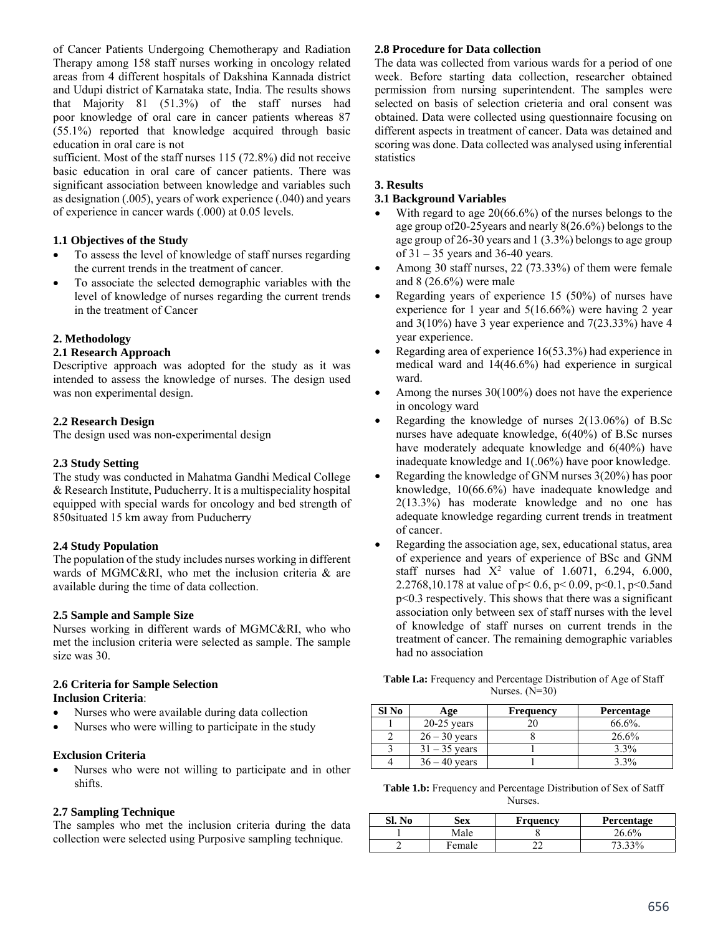of Cancer Patients Undergoing Chemotherapy and Radiation Therapy among 158 staff nurses working in oncology related areas from 4 different hospitals of Dakshina Kannada district and Udupi district of Karnataka state, India. The results shows that Majority 81 (51.3%) of the staff nurses had poor knowledge of oral care in cancer patients whereas 87 (55.1%) reported that knowledge acquired through basic education in oral care is not

sufficient. Most of the staff nurses 115 (72.8%) did not receive basic education in oral care of cancer patients. There was significant association between knowledge and variables such as designation (.005), years of work experience (.040) and years of experience in cancer wards (.000) at 0.05 levels.

### **1.1 Objectives of the Study**

- To assess the level of knowledge of staff nurses regarding the current trends in the treatment of cancer.
- To associate the selected demographic variables with the level of knowledge of nurses regarding the current trends in the treatment of Cancer

## **2. Methodology**

### **2.1 Research Approach**

Descriptive approach was adopted for the study as it was intended to assess the knowledge of nurses. The design used was non experimental design.

## **2.2 Research Design**

The design used was non-experimental design

## **2.3 Study Setting**

The study was conducted in Mahatma Gandhi Medical College & Research Institute, Puducherry. It is a multispeciality hospital equipped with special wards for oncology and bed strength of 850situated 15 km away from Puducherry

### **2.4 Study Population**

The population of the study includes nurses working in different wards of MGMC&RI, who met the inclusion criteria & are available during the time of data collection.

### **2.5 Sample and Sample Size**

Nurses working in different wards of MGMC&RI, who who met the inclusion criteria were selected as sample. The sample size was 30.

#### **2.6 Criteria for Sample Selection Inclusion Criteria**:

- Nurses who were available during data collection
- Nurses who were willing to participate in the study

### **Exclusion Criteria**

 Nurses who were not willing to participate and in other shifts.

### **2.7 Sampling Technique**

The samples who met the inclusion criteria during the data collection were selected using Purposive sampling technique.

#### **2.8 Procedure for Data collection**

The data was collected from various wards for a period of one week. Before starting data collection, researcher obtained permission from nursing superintendent. The samples were selected on basis of selection crieteria and oral consent was obtained. Data were collected using questionnaire focusing on different aspects in treatment of cancer. Data was detained and scoring was done. Data collected was analysed using inferential statistics

## **3. Results**

#### **3.1 Background Variables**

- With regard to age 20(66.6%) of the nurses belongs to the age group of20-25years and nearly 8(26.6%) belongs to the age group of 26-30 years and 1 (3.3%) belongs to age group of 31 – 35 years and 36-40 years.
- Among 30 staff nurses, 22 (73.33%) of them were female and 8 (26.6%) were male
- Regarding years of experience 15 (50%) of nurses have experience for 1 year and 5(16.66%) were having 2 year and 3(10%) have 3 year experience and 7(23.33%) have 4 year experience.
- Regarding area of experience 16(53.3%) had experience in medical ward and 14(46.6%) had experience in surgical ward.
- Among the nurses 30(100%) does not have the experience in oncology ward
- Regarding the knowledge of nurses 2(13.06%) of B.Sc nurses have adequate knowledge, 6(40%) of B.Sc nurses have moderately adequate knowledge and 6(40%) have inadequate knowledge and 1(.06%) have poor knowledge.
- Regarding the knowledge of GNM nurses 3(20%) has poor knowledge, 10(66.6%) have inadequate knowledge and 2(13.3%) has moderate knowledge and no one has adequate knowledge regarding current trends in treatment of cancer.
- Regarding the association age, sex, educational status, area of experience and years of experience of BSc and GNM staff nurses had  $X^2$  value of 1.6071, 6.294, 6.000, 2.2768,10.178 at value of p< 0.6, p< 0.09, p<0.1, p<0.5and p<0.3 respectively. This shows that there was a significant association only between sex of staff nurses with the level of knowledge of staff nurses on current trends in the treatment of cancer. The remaining demographic variables had no association

| <b>Table I.a:</b> Frequency and Percentage Distribution of Age of Staff |
|-------------------------------------------------------------------------|
| Nurses. $(N=30)$                                                        |

| Sl No | Age             | <b>Frequency</b> | <b>Percentage</b> |
|-------|-----------------|------------------|-------------------|
|       | $20-25$ years   |                  | $66.6\%$ .        |
|       | $26 - 30$ years |                  | 26.6%             |
|       | $31 - 35$ years |                  | 3.3%              |
|       | 40 years        |                  | $3\%$             |

**Table 1.b:** Frequency and Percentage Distribution of Sex of Satff Nurses.

| Sl. No | Sex    | <b>Frquency</b> | Percentage |
|--------|--------|-----------------|------------|
|        | Male   |                 | 60/        |
|        | Female |                 | 20,        |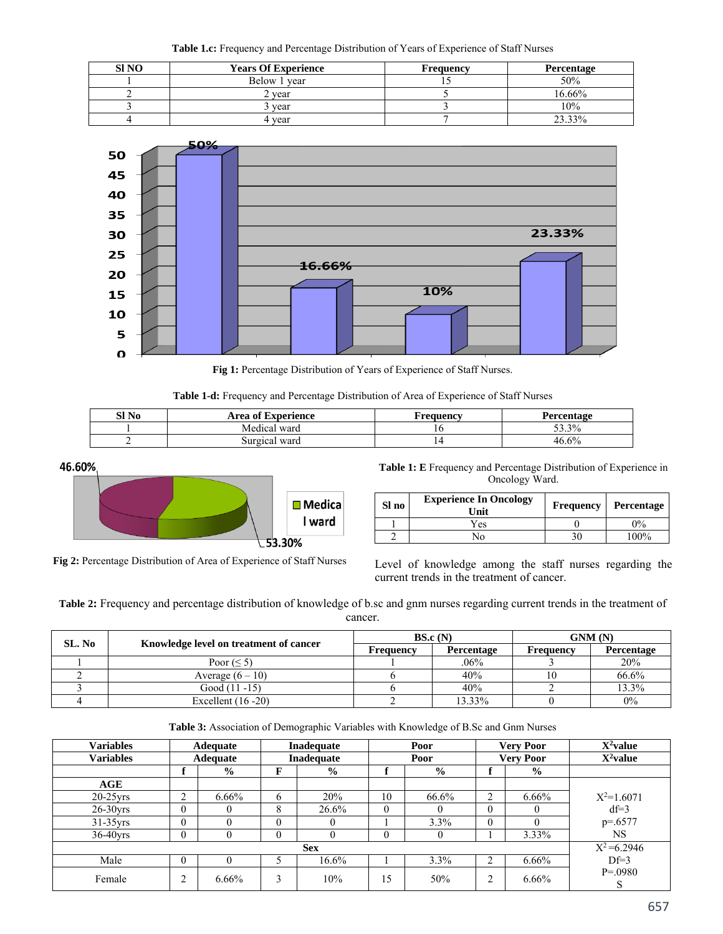**Table 1.c:** Frequency and Percentage Distribution of Years of Experience of Staff Nurses

| <b>SI NO</b> | <b>Years Of Experience</b> | <b>Frequency</b> | Percentage |
|--------------|----------------------------|------------------|------------|
|              | Below 1 year               |                  | 50%        |
|              | ' vear                     |                  | 16.66%     |
|              | vear                       |                  | 10%        |
|              | + year                     |                  | 23.33%     |



**Fig 1:** Percentage Distribution of Years of Experience of Staff Nurses.

|  |  |  |  | Table 1-d: Frequency and Percentage Distribution of Area of Experience of Staff Nurses |  |
|--|--|--|--|----------------------------------------------------------------------------------------|--|
|--|--|--|--|----------------------------------------------------------------------------------------|--|

| SI No | <b>Area of Experience</b> | Frequency | Percentage     |
|-------|---------------------------|-----------|----------------|
|       | Medical ward              | πU.       | 3%<br>- ^<br>. |
|       | ward<br>Surgical          | l 4       | 46.6%          |



**Table 1: E** Frequency and Percentage Distribution of Experience in Oncology Ward.

| Sl no | <b>Experience In Oncology</b><br>Unit | Frequency | Percentage |
|-------|---------------------------------------|-----------|------------|
|       | Yes                                   |           | $2\%$      |
|       |                                       |           | $100\%$    |

**Fig 2:** Percentage Distribution of Area of Experience of Staff Nurses

Level of knowledge among the staff nurses regarding the current trends in the treatment of cancer.

**Table 2:** Frequency and percentage distribution of knowledge of b.sc and gnm nurses regarding current trends in the treatment of cancer.

| SL. No | Knowledge level on treatment of cancer |           | BS.c(N)           | GNM(N)    |                   |  |
|--------|----------------------------------------|-----------|-------------------|-----------|-------------------|--|
|        |                                        | Frequency | <b>Percentage</b> | Frequency | <b>Percentage</b> |  |
|        | Poor $(\leq 5)$                        |           | $.06\%$           |           | 20%               |  |
|        | Average $(6 - 10)$                     |           | 40%               |           | 66.6%             |  |
|        | Good $(11 - 15)$                       |           | 40%               |           | 13.3%             |  |
|        | Excellent $(16 - 20)$                  |           | 13.33%            |           | 0%                |  |

**Table 3:** Association of Demographic Variables with Knowledge of B.Sc and Gnm Nurses

| <b>Variables</b> |   | Adequate        | Inadequate |                    | Poor             |                  | <b>Very Poor</b> |               | $X^2$ value       |
|------------------|---|-----------------|------------|--------------------|------------------|------------------|------------------|---------------|-------------------|
| <b>Variables</b> |   | <b>Adequate</b> |            | Inadequate<br>Poor |                  | <b>Very Poor</b> |                  | $X^2$ value   |                   |
|                  |   | $\frac{0}{0}$   | F          | $\frac{6}{9}$      |                  | $\frac{6}{6}$    |                  | $\frac{0}{0}$ |                   |
| AGE              |   |                 |            |                    |                  |                  |                  |               |                   |
| $20-25$ vrs      | ◠ | $6.66\%$        | 6          | 20%                | 10               | 66.6%            | ◠                | 6.66%         | $X^2=1.6071$      |
| $26-30$ vrs      | 0 |                 | 8          | 26.6%              | $\boldsymbol{0}$ |                  | 0                |               | $df=3$            |
| $31-35$ vrs      | 0 |                 | 0          |                    |                  | 3.3%             |                  |               | $p=.6577$         |
| $36-40$ vrs      | 0 |                 | $\Omega$   | 0                  | $\theta$         |                  |                  | 3.33%         | <b>NS</b>         |
| <b>Sex</b>       |   |                 |            |                    |                  |                  | $X^2 = 6.2946$   |               |                   |
| Male             | 0 |                 |            | $16.6\%$           |                  | 3.3%             |                  | 6.66%         | $Df=3$            |
| Female           |   | 6.66%           | 3          | 10%                | 15               | 50%              | ⌒                | 6.66%         | $P = 0.0980$<br>د |